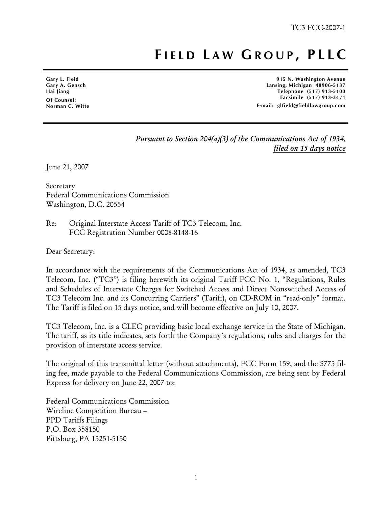## **F IELD L AW G ROUP , PLLC**

**Gary L. Field Gary A. Gensch Hai Jiang Of Counsel: Norman C. Witte** 

ׇ֧֬

**915 N. Washington Avenue Lansing, Michigan 48906-5137 Telephone (517) 913-5100 Facsimile (517) 913-3471 E-mail: glfield@fieldlawgroup.com** 

## *Pursuant to Section 204(a)(3) of the Communications Act of 1934, filed on 15 days notice*

June 21, 2007

Secretary Federal Communications Commission Washington, D.C. 20554

Re: Original Interstate Access Tariff of TC3 Telecom, Inc. FCC Registration Number 0008-8148-16

Dear Secretary:

In accordance with the requirements of the Communications Act of 1934, as amended, TC3 Telecom, Inc. ("TC3") is filing herewith its original Tariff FCC No. 1, "Regulations, Rules and Schedules of Interstate Charges for Switched Access and Direct Nonswitched Access of TC3 Telecom Inc. and its Concurring Carriers" (Tariff), on CD-ROM in "read-only" format. The Tariff is filed on 15 days notice, and will become effective on July 10, 2007.

TC3 Telecom, Inc. is a CLEC providing basic local exchange service in the State of Michigan. The tariff, as its title indicates, sets forth the Company's regulations, rules and charges for the provision of interstate access service.

The original of this transmittal letter (without attachments), FCC Form 159, and the \$775 filing fee, made payable to the Federal Communications Commission, are being sent by Federal Express for delivery on June 22, 2007 to:

Federal Communications Commission Wireline Competition Bureau – PPD Tariffs Filings P.O. Box 358150 Pittsburg, PA 15251-5150